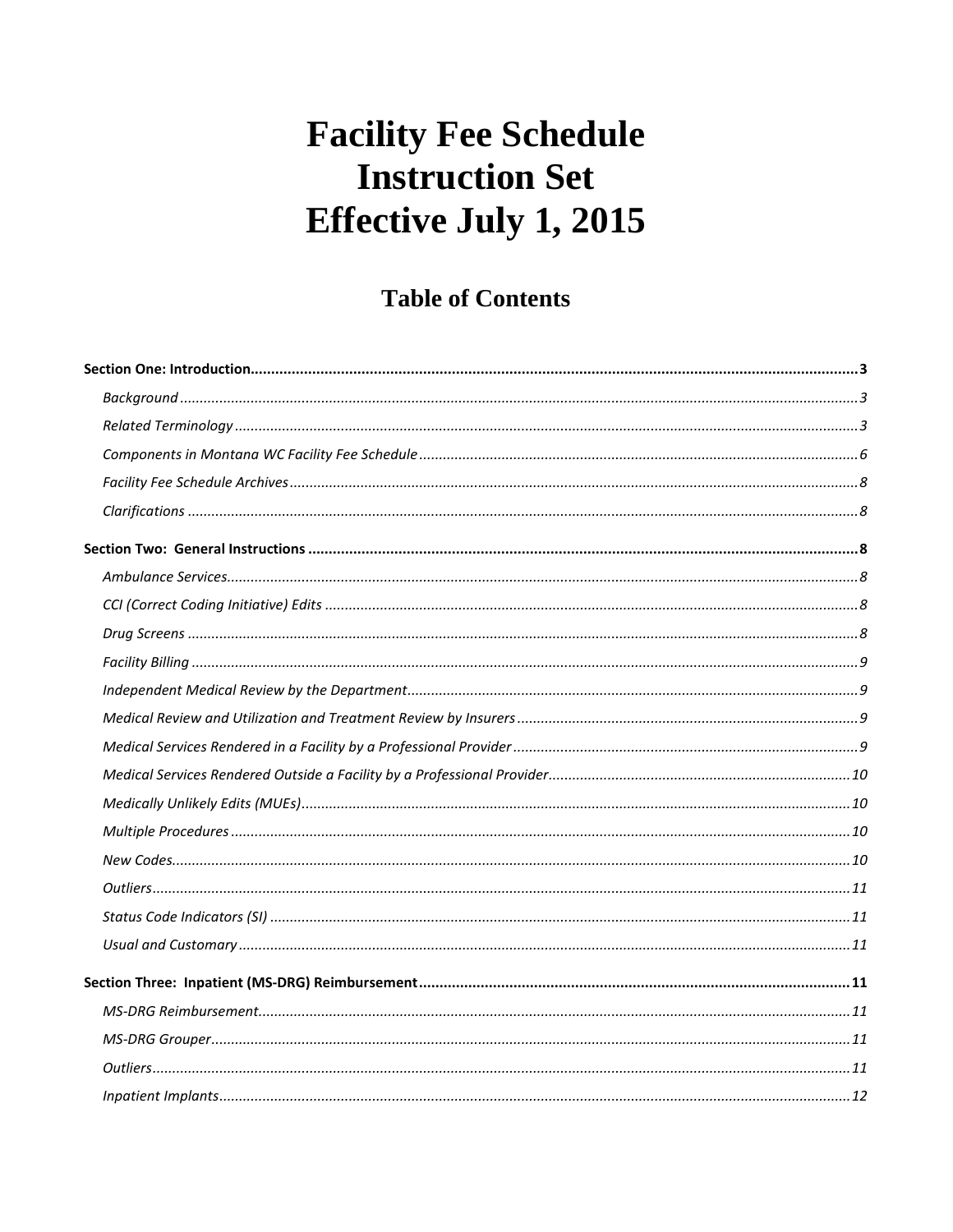# **Table of Contents**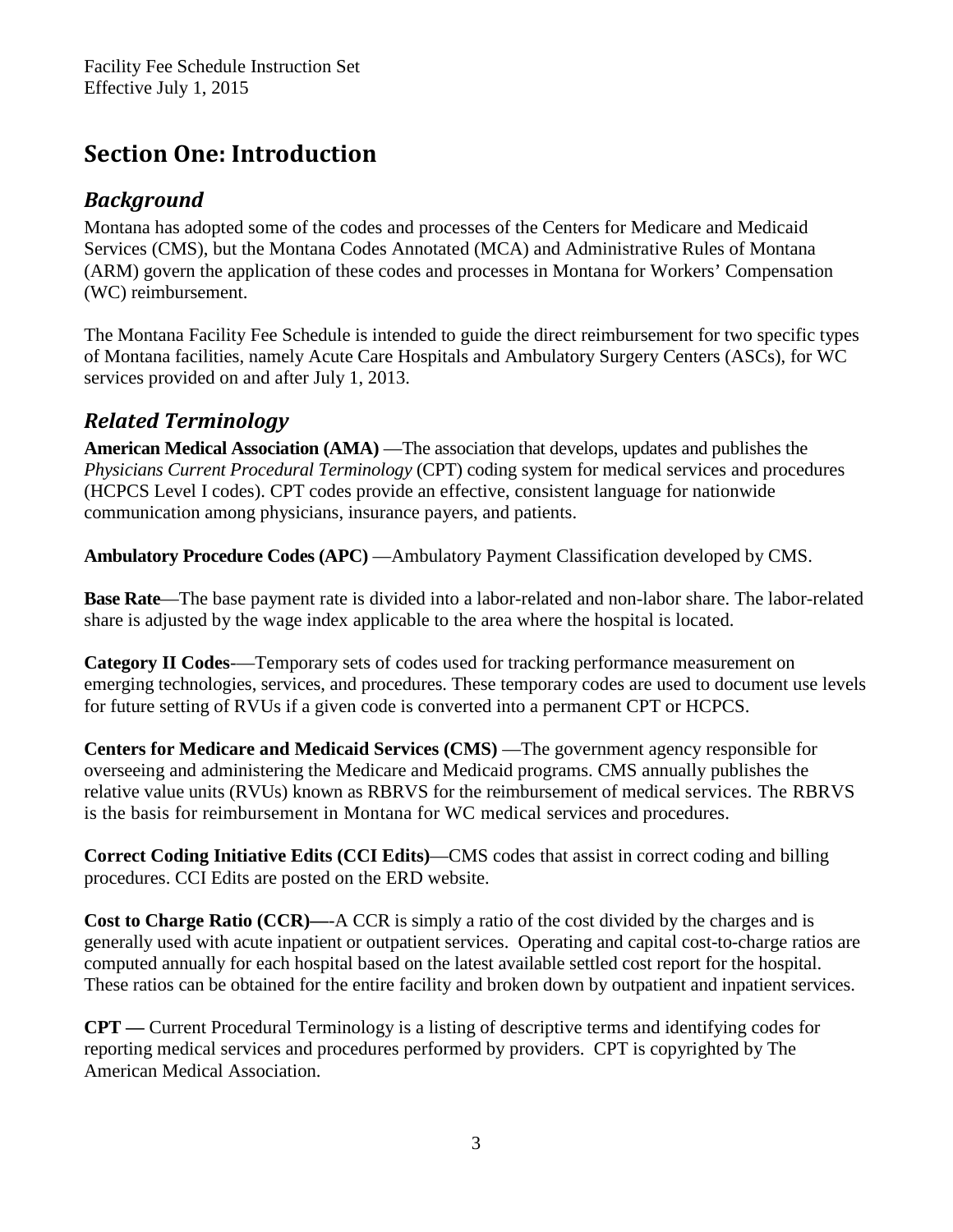# <span id="page-2-0"></span>**Section One: Introduction**

### <span id="page-2-1"></span>*Background*

Montana has adopted some of the codes and processes of the Centers for Medicare and Medicaid Services (CMS), but the Montana Codes Annotated (MCA) and Administrative Rules of Montana (ARM) govern the application of these codes and processes in Montana for Workers' Compensation (WC) reimbursement.

The Montana Facility Fee Schedule is intended to guide the direct reimbursement for two specific types of Montana facilities, namely Acute Care Hospitals and Ambulatory Surgery Centers (ASCs), for WC services provided on and after July 1, 2013.

### <span id="page-2-2"></span>*Related Terminology*

**American Medical Association (AMA)** —The association that develops, updates and publishes the *Physicians Current Procedural Terminology* (CPT) coding system for medical services and procedures (HCPCS Level I codes). CPT codes provide an effective, consistent language for nationwide communication among physicians, insurance payers, and patients.

**Ambulatory Procedure Codes (APC)** —Ambulatory Payment Classification developed by CMS.

**Base Rate**—The base payment rate is divided into a labor-related and non-labor share. The labor-related share is adjusted by the wage index applicable to the area where the hospital is located.

**Category II Codes**-—Temporary sets of codes used for tracking performance measurement on emerging technologies, services, and procedures. These temporary codes are used to document use levels for future setting of RVUs if a given code is converted into a permanent CPT or HCPCS.

**Centers for Medicare and Medicaid Services (CMS)**—The government agency responsible for overseeing and administering the Medicare and Medicaid programs. CMS annually publishes the relative value units (RVUs) known as RBRVS for the reimbursement of medical services. The RBRVS is the basis for reimbursement in Montana for WC medical services and procedures.

**Correct Coding Initiative Edits (CCI Edits)**—CMS codes that assist in correct coding and billing procedures. CCI Edits are posted on the ERD website.

**Cost to Charge Ratio (CCR)—**-A CCR is simply a ratio of the cost divided by the charges and is generally used with acute inpatient or outpatient services. Operating and capital cost-to-charge ratios are computed annually for each hospital based on the latest available settled cost report for the hospital. These ratios can be obtained for the entire facility and broken down by outpatient and inpatient services.

**CPT —** Current Procedural Terminology is a listing of descriptive terms and identifying codes for reporting medical services and procedures performed by providers. CPT is copyrighted by The American Medical Association.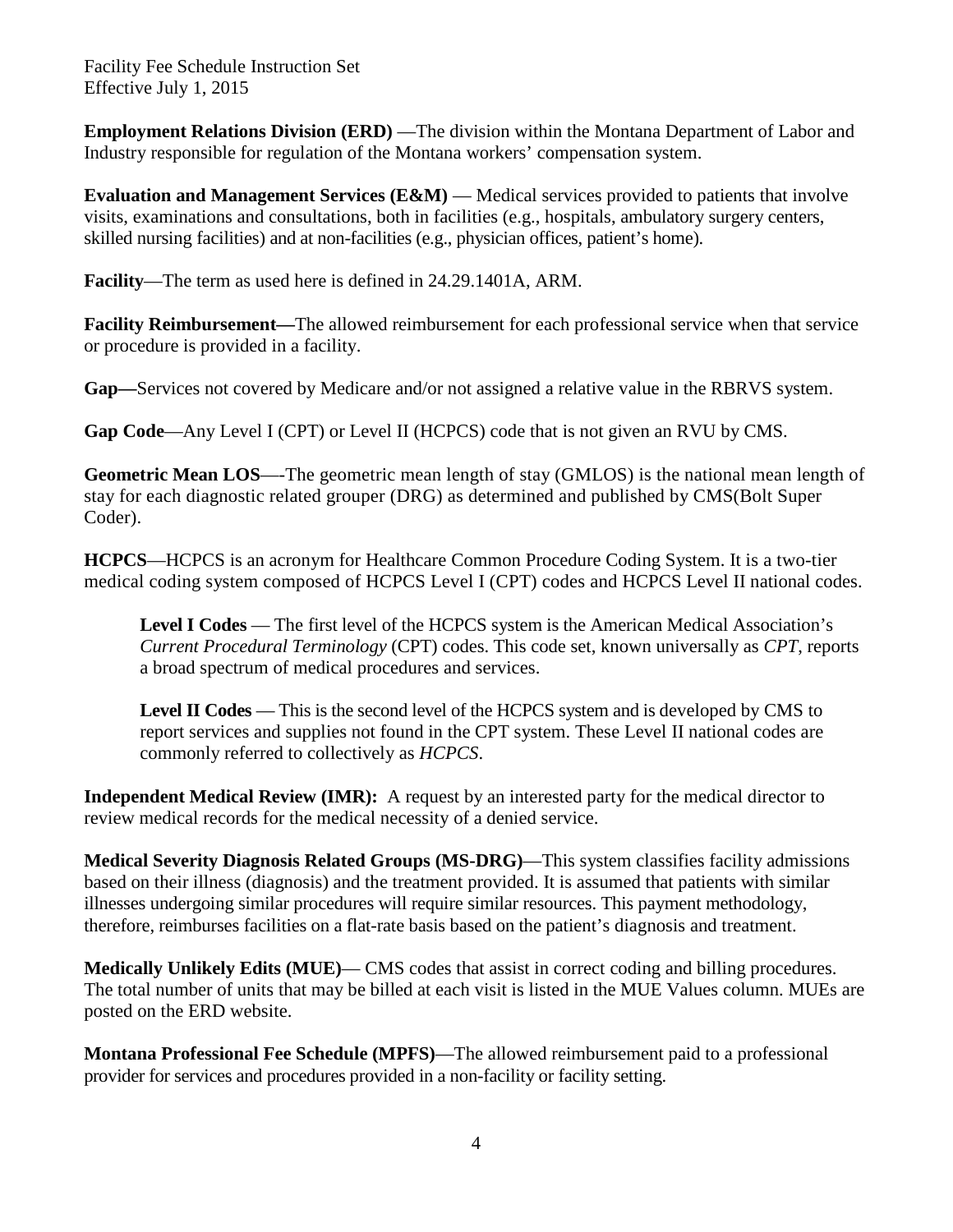**Employment Relations Division (ERD)** — The division within the Montana Department of Labor and Industry responsible for regulation of the Montana workers' compensation system.

**Evaluation and Management Services (E&M)** — Medical services provided to patients that involve visits, examinations and consultations, both in facilities (e.g., hospitals, ambulatory surgery centers, skilled nursing facilities) and at non-facilities (e.g., physician offices, patient's home).

**Facility**—The term as used here is defined in 24.29.1401A, ARM.

**Facility Reimbursement—**The allowed reimbursement for each professional service when that service or procedure is provided in a facility.

**Gap—**Services not covered by Medicare and/or not assigned a relative value in the RBRVS system.

**Gap Code**—Any Level I (CPT) or Level II (HCPCS) code that is not given an RVU by CMS.

**Geometric Mean LOS**—-The geometric mean length of stay (GMLOS) is the national mean length of stay for each diagnostic related grouper (DRG) as determined and published by CMS(Bolt Super Coder).

**HCPCS**—HCPCS is an acronym for Healthcare Common Procedure Coding System. It is a two-tier medical coding system composed of HCPCS Level I (CPT) codes and HCPCS Level II national codes.

**Level I Codes** — The first level of the HCPCS system is the American Medical Association's *Current Procedural Terminology* (CPT) codes. This code set, known universally as *CPT*, reports a broad spectrum of medical procedures and services.

**Level II Codes** — This is the second level of the HCPCS system and is developed by CMS to report services and supplies not found in the CPT system. These Level II national codes are commonly referred to collectively as *HCPCS*.

**Independent Medical Review (IMR):** A request by an interested party for the medical director to review medical records for the medical necessity of a denied service.

**Medical Severity Diagnosis Related Groups (MS-DRG)**—This system classifies facility admissions based on their illness (diagnosis) and the treatment provided. It is assumed that patients with similar illnesses undergoing similar procedures will require similar resources. This payment methodology, therefore, reimburses facilities on a flat-rate basis based on the patient's diagnosis and treatment.

**Medically Unlikely Edits (MUE)**— CMS codes that assist in correct coding and billing procedures. The total number of units that may be billed at each visit is listed in the MUE Values column. MUEs are posted on the ERD website.

**Montana Professional Fee Schedule (MPFS)**—The allowed reimbursement paid to a professional provider for services and procedures provided in a non-facility or facility setting.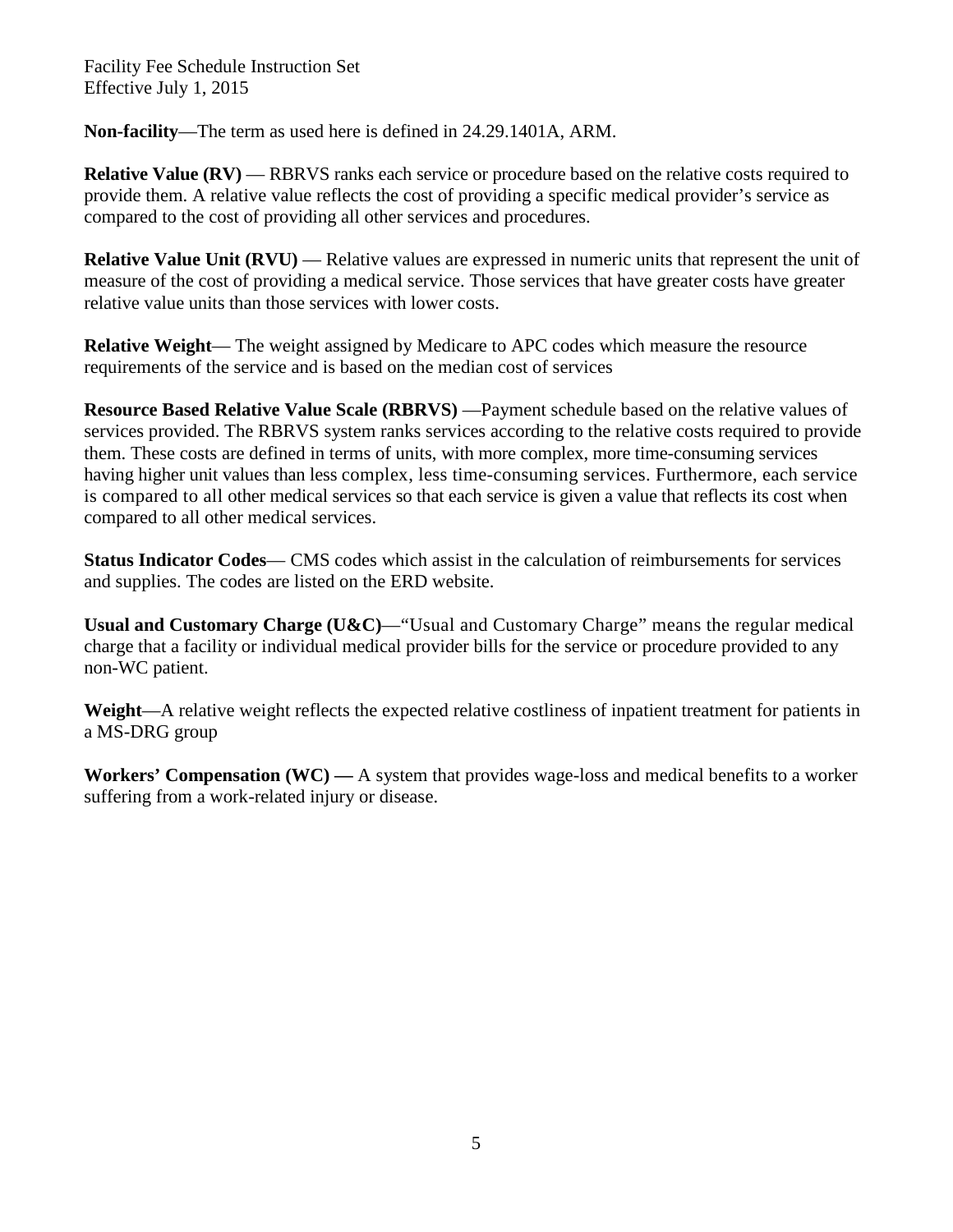**Non-facility**—The term as used here is defined in 24.29.1401A, ARM.

**Relative Value (RV) — RBRVS** ranks each service or procedure based on the relative costs required to provide them. A relative value reflects the cost of providing a specific medical provider's service as compared to the cost of providing all other services and procedures.

**Relative Value Unit (RVU)** — Relative values are expressed in numeric units that represent the unit of measure of the cost of providing a medical service. Those services that have greater costs have greater relative value units than those services with lower costs.

**Relative Weight**— The weight assigned by Medicare to APC codes which measure the resource requirements of the service and is based on the median cost of services

**Resource Based Relative Value Scale (RBRVS)** —Payment schedule based on the relative values of services provided. The RBRVS system ranks services according to the relative costs required to provide them. These costs are defined in terms of units, with more complex, more time-consuming services having higher unit values than less complex, less time-consuming services. Furthermore, each service is compared to all other medical services so that each service is given a value that reflects its cost when compared to all other medical services.

**Status Indicator Codes**— CMS codes which assist in the calculation of reimbursements for services and supplies. The codes are listed on the ERD website.

**Usual and Customary Charge (U&C)**—"Usual and Customary Charge" means the regular medical charge that a facility or individual medical provider bills for the service or procedure provided to any non-WC patient.

**Weight**—A relative weight reflects the expected relative costliness of inpatient treatment for patients in a MS-DRG group

**Workers' Compensation (WC) —** A system that provides wage-loss and medical benefits to a worker suffering from a work-related injury or disease.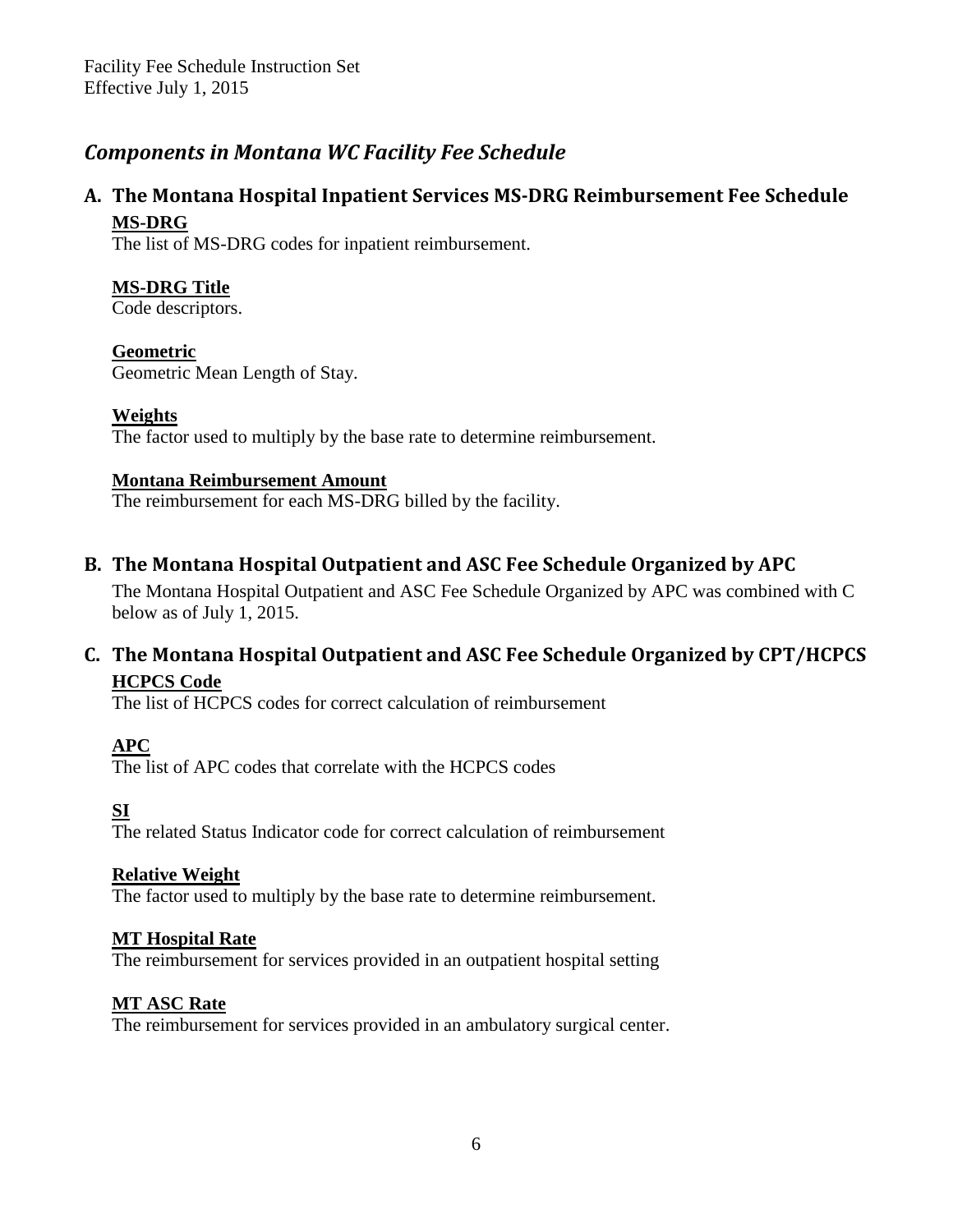### <span id="page-5-0"></span>*Components in Montana WC Facility Fee Schedule*

#### **A. The Montana Hospital Inpatient Services MS-DRG Reimbursement Fee Schedule MS-DRG**

The list of MS-DRG codes for inpatient reimbursement.

#### **MS-DRG Title**

Code descriptors.

#### **Geometric**

Geometric Mean Length of Stay.

#### **Weights**

The factor used to multiply by the base rate to determine reimbursement.

#### **Montana Reimbursement Amount**

The reimbursement for each MS-DRG billed by the facility.

#### **B. The Montana Hospital Outpatient and ASC Fee Schedule Organized by APC**

The Montana Hospital Outpatient and ASC Fee Schedule Organized by APC was combined with C below as of July 1, 2015.

#### **C. The Montana Hospital Outpatient and ASC Fee Schedule Organized by CPT/HCPCS HCPCS Code**

The list of HCPCS codes for correct calculation of reimbursement

#### **APC**

The list of APC codes that correlate with the HCPCS codes

#### **SI**

The related Status Indicator code for correct calculation of reimbursement

#### **Relative Weight**

The factor used to multiply by the base rate to determine reimbursement.

#### **MT Hospital Rate**

The reimbursement for services provided in an outpatient hospital setting

#### **MT ASC Rate**

The reimbursement for services provided in an ambulatory surgical center.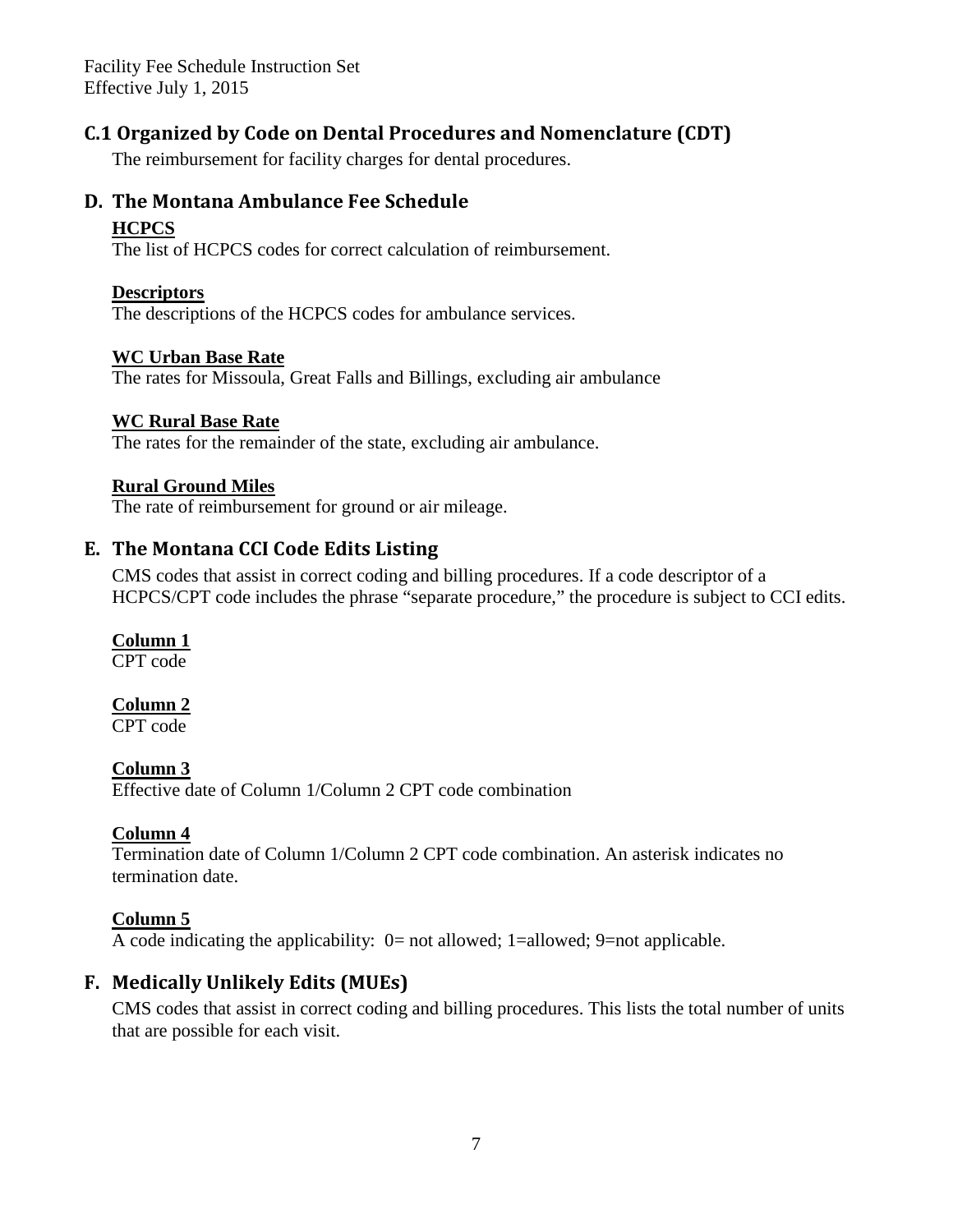#### **C.1 Organized by Code on Dental Procedures and Nomenclature (CDT)**

The reimbursement for facility charges for dental procedures.

#### **D. The Montana Ambulance Fee Schedule**

#### **HCPCS**

The list of HCPCS codes for correct calculation of reimbursement.

#### **Descriptors**

The descriptions of the HCPCS codes for ambulance services.

#### **WC Urban Base Rate**

The rates for Missoula, Great Falls and Billings, excluding air ambulance

#### **WC Rural Base Rate**

The rates for the remainder of the state, excluding air ambulance.

#### **Rural Ground Miles**

The rate of reimbursement for ground or air mileage.

#### **E. The Montana CCI Code Edits Listing**

CMS codes that assist in correct coding and billing procedures. If a code descriptor of a HCPCS/CPT code includes the phrase "separate procedure," the procedure is subject to CCI edits.

#### **Column 1**

CPT code

#### **Column 2**

CPT code

#### **Column 3**

Effective date of Column 1/Column 2 CPT code combination

#### **Column 4**

Termination date of Column 1/Column 2 CPT code combination. An asterisk indicates no termination date.

#### **Column 5**

A code indicating the applicability: 0= not allowed; 1=allowed; 9=not applicable.

#### **F. Medically Unlikely Edits (MUEs)**

CMS codes that assist in correct coding and billing procedures. This lists the total number of units that are possible for each visit.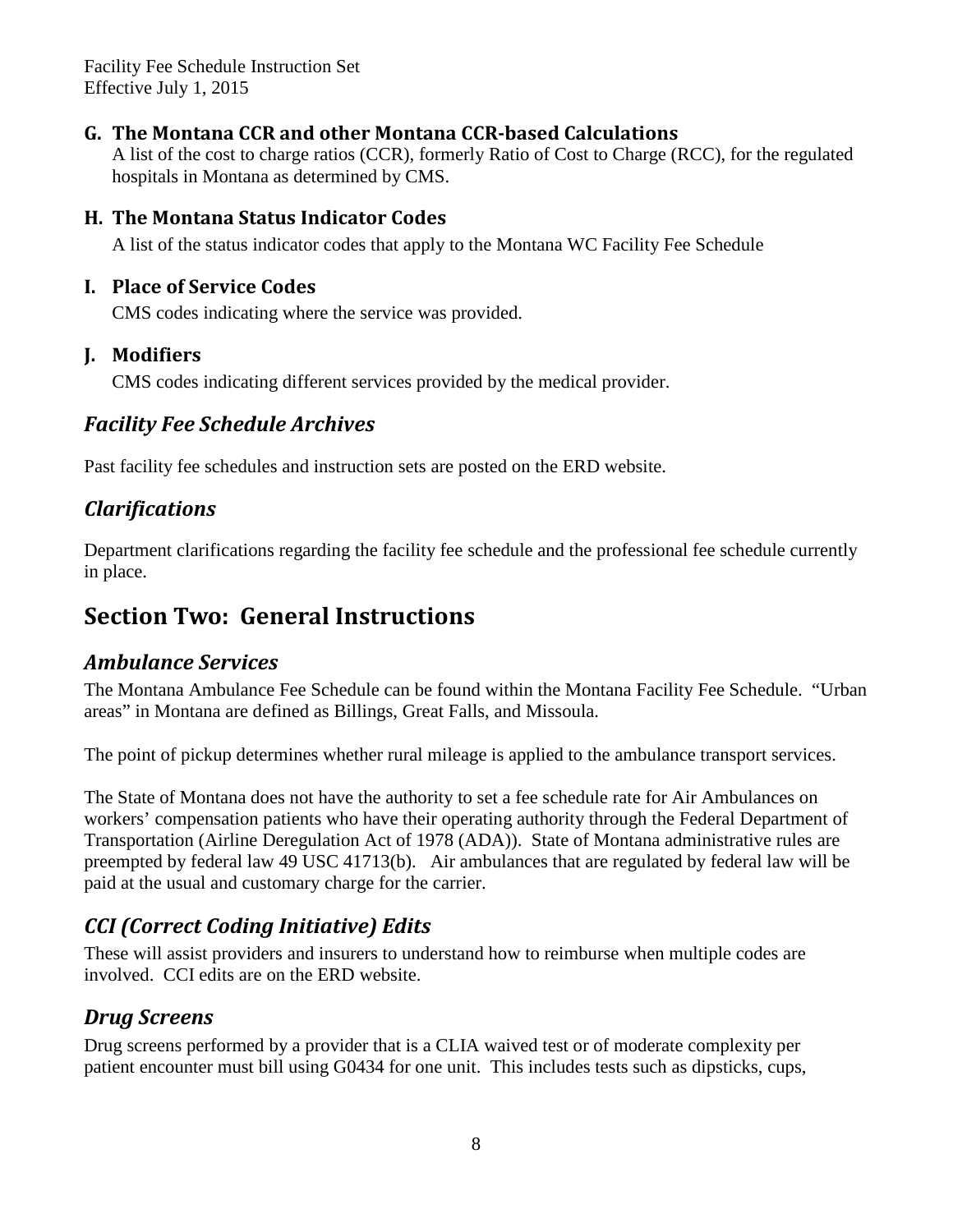#### **G. The Montana CCR and other Montana CCR-based Calculations**

A list of the cost to charge ratios (CCR), formerly Ratio of Cost to Charge (RCC), for the regulated hospitals in Montana as determined by CMS.

#### **H. The Montana Status Indicator Codes**

A list of the status indicator codes that apply to the Montana WC Facility Fee Schedule

#### **I. Place of Service Codes**

CMS codes indicating where the service was provided.

#### **J. Modifiers**

CMS codes indicating different services provided by the medical provider.

### <span id="page-7-0"></span>*[Facility](http://erd.dli.mt.gov/workers-comp-claims-assistance/medical-regulations/montana-facility-fee-schedule/19-erd/workers-comp-study-project/269-montana-facility-fee-schedule-archives.html) Fee Schedule Archives*

Past facility fee schedules and instruction sets are posted on the ERD website.

### <span id="page-7-1"></span>*Clarifications*

Department clarifications regarding the facility fee schedule and the professional fee schedule currently in place.

# <span id="page-7-2"></span>**Section Two: General Instructions**

#### <span id="page-7-3"></span>*Ambulance Services*

The Montana Ambulance Fee Schedule can be found within the Montana Facility Fee Schedule. "Urban areas" in Montana are defined as Billings, Great Falls, and Missoula.

The point of pickup determines whether rural mileage is applied to the ambulance transport services.

The State of Montana does not have the authority to set a fee schedule rate for Air Ambulances on workers' compensation patients who have their operating authority through the Federal Department of Transportation (Airline Deregulation Act of 1978 (ADA)). State of Montana administrative rules are preempted by federal law 49 USC 41713(b). Air ambulances that are regulated by federal law will be paid at the usual and customary charge for the carrier.

### <span id="page-7-4"></span>*CCI (Correct Coding Initiative) Edits*

These will assist providers and insurers to understand how to reimburse when multiple codes are involved. CCI edits are on the ERD website.

### <span id="page-7-5"></span>*Drug Screens*

Drug screens performed by a provider that is a CLIA waived test or of moderate complexity per patient encounter must bill using G0434 for one unit. This includes tests such as dipsticks, cups,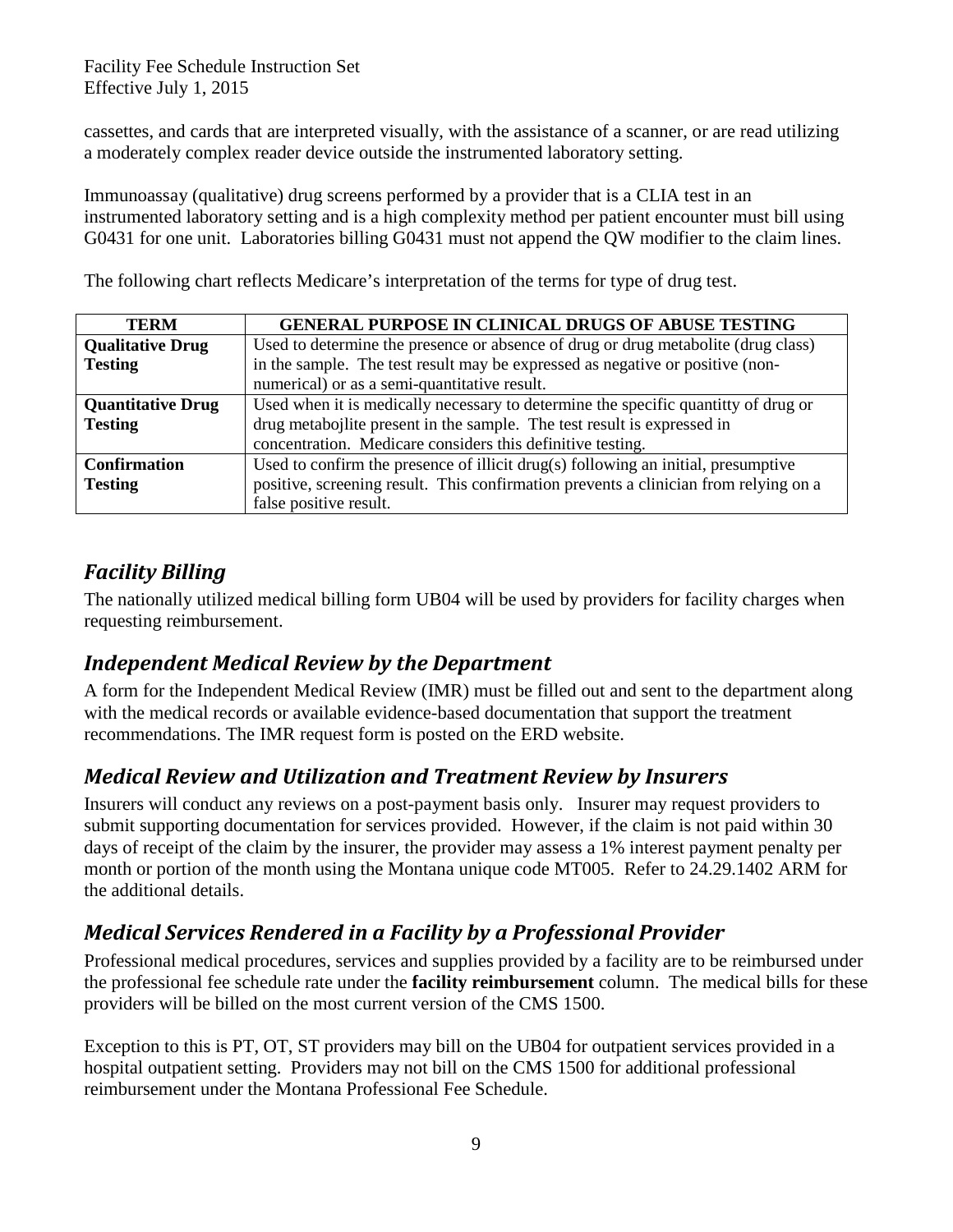cassettes, and cards that are interpreted visually, with the assistance of a scanner, or are read utilizing a moderately complex reader device outside the instrumented laboratory setting.

Immunoassay (qualitative) drug screens performed by a provider that is a CLIA test in an instrumented laboratory setting and is a high complexity method per patient encounter must bill using G0431 for one unit. Laboratories billing G0431 must not append the QW modifier to the claim lines.

The following chart reflects Medicare's interpretation of the terms for type of drug test.

| <b>TERM</b>              | <b>GENERAL PURPOSE IN CLINICAL DRUGS OF ABUSE TESTING</b>                            |  |
|--------------------------|--------------------------------------------------------------------------------------|--|
| <b>Qualitative Drug</b>  | Used to determine the presence or absence of drug or drug metabolite (drug class)    |  |
| <b>Testing</b>           | in the sample. The test result may be expressed as negative or positive (non-        |  |
|                          | numerical) or as a semi-quantitative result.                                         |  |
| <b>Quantitative Drug</b> | Used when it is medically necessary to determine the specific quantity of drug or    |  |
| <b>Testing</b>           | drug metabojlite present in the sample. The test result is expressed in              |  |
|                          | concentration. Medicare considers this definitive testing.                           |  |
| <b>Confirmation</b>      | Used to confirm the presence of illicit drug(s) following an initial, presumptive    |  |
| <b>Testing</b>           | positive, screening result. This confirmation prevents a clinician from relying on a |  |
|                          | false positive result.                                                               |  |

### <span id="page-8-0"></span>*Facility Billing*

The nationally utilized medical billing form UB04 will be used by providers for facility charges when requesting reimbursement.

### <span id="page-8-1"></span>*Independent Medical Review by the Department*

A form for the Independent Medical Review (IMR) must be filled out and sent to the department along with the medical records or available evidence-based documentation that support the treatment recommendations. The IMR request form is posted on the ERD website.

### <span id="page-8-2"></span>*Medical Review and Utilization and Treatment Review by Insurers*

Insurers will conduct any reviews on a post-payment basis only. Insurer may request providers to submit supporting documentation for services provided. However, if the claim is not paid within 30 days of receipt of the claim by the insurer, the provider may assess a 1% interest payment penalty per month or portion of the month using the Montana unique code MT005. Refer to 24.29.1402 ARM for the additional details.

### <span id="page-8-3"></span>*Medical Services Rendered in a Facility by a Professional Provider*

Professional medical procedures, services and supplies provided by a facility are to be reimbursed under the professional fee schedule rate under the **facility reimbursement** column. The medical bills for these providers will be billed on the most current version of the CMS 1500.

Exception to this is PT, OT, ST providers may bill on the UB04 for outpatient services provided in a hospital outpatient setting. Providers may not bill on the CMS 1500 for additional professional reimbursement under the Montana Professional Fee Schedule.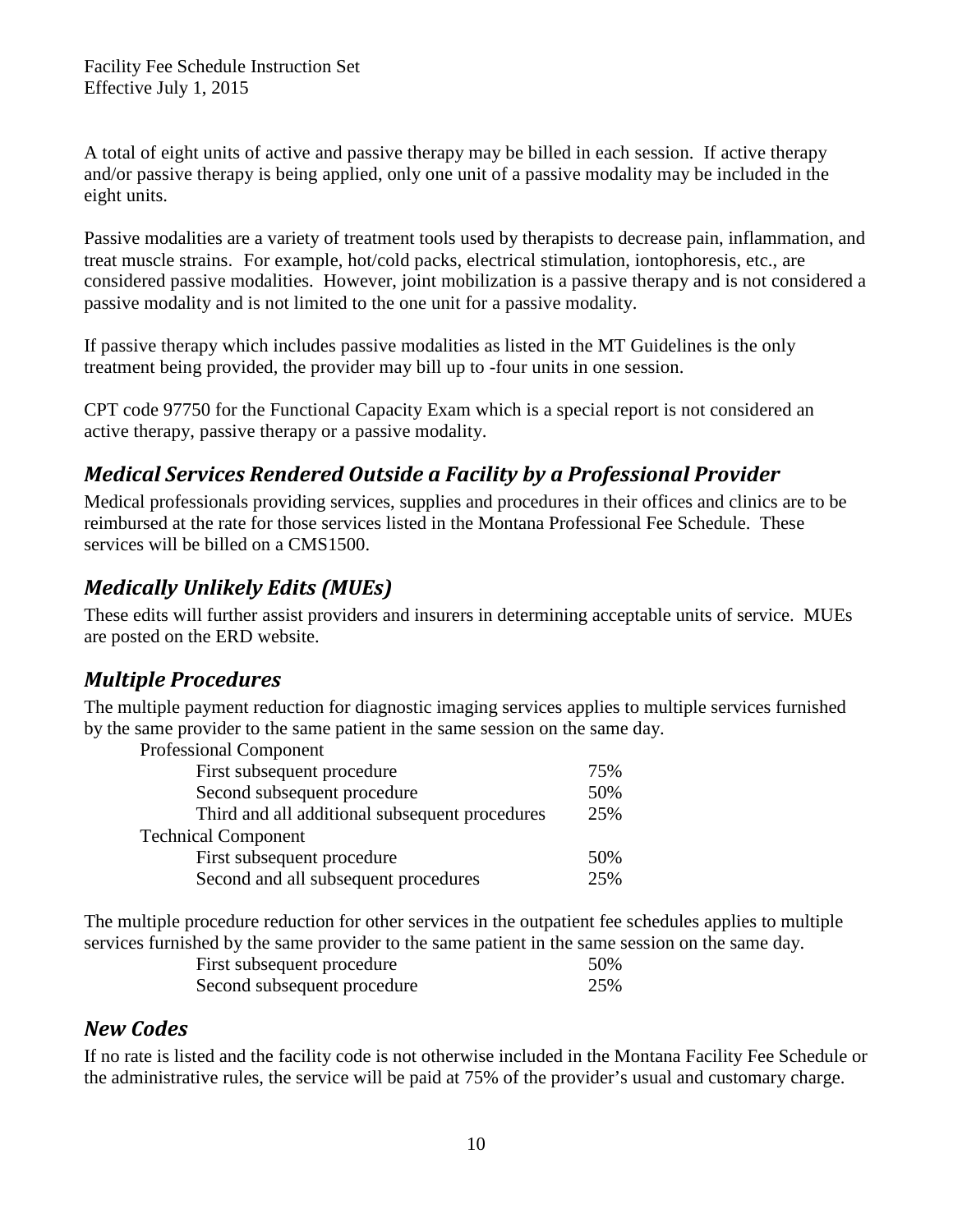A total of eight units of active and passive therapy may be billed in each session. If active therapy and/or passive therapy is being applied, only one unit of a passive modality may be included in the eight units.

Passive modalities are a variety of treatment tools used by therapists to decrease pain, inflammation, and treat muscle strains. For example, hot/cold packs, electrical stimulation, iontophoresis, etc., are considered passive modalities. However, joint mobilization is a passive therapy and is not considered a passive modality and is not limited to the one unit for a passive modality.

If passive therapy which includes passive modalities as listed in the MT Guidelines is the only treatment being provided, the provider may bill up to -four units in one session.

CPT code 97750 for the Functional Capacity Exam which is a special report is not considered an active therapy, passive therapy or a passive modality.

### <span id="page-9-0"></span>*Medical Services Rendered Outside a Facility by a Professional Provider*

Medical professionals providing services, supplies and procedures in their offices and clinics are to be reimbursed at the rate for those services listed in the Montana Professional Fee Schedule. These services will be billed on a CMS1500.

### <span id="page-9-1"></span>*Medically Unlikely Edits (MUEs)*

These edits will further assist providers and insurers in determining acceptable units of service. MUEs are posted on the ERD website.

### <span id="page-9-2"></span>*Multiple Procedures*

The multiple payment reduction for diagnostic imaging services applies to multiple services furnished by the same provider to the same patient in the same session on the same day.

| <b>Professional Component</b>                  |     |
|------------------------------------------------|-----|
| First subsequent procedure                     | 75% |
| Second subsequent procedure                    | 50% |
| Third and all additional subsequent procedures | 25% |
| <b>Technical Component</b>                     |     |
| First subsequent procedure                     | 50% |
| Second and all subsequent procedures           | 25% |

The multiple procedure reduction for other services in the outpatient fee schedules applies to multiple services furnished by the same provider to the same patient in the same session on the same day.

| First subsequent procedure  | 50% |
|-----------------------------|-----|
| Second subsequent procedure | 25% |

#### <span id="page-9-3"></span>*New Codes*

If no rate is listed and the facility code is not otherwise included in the Montana Facility Fee Schedule or the administrative rules, the service will be paid at 75% of the provider's usual and customary charge.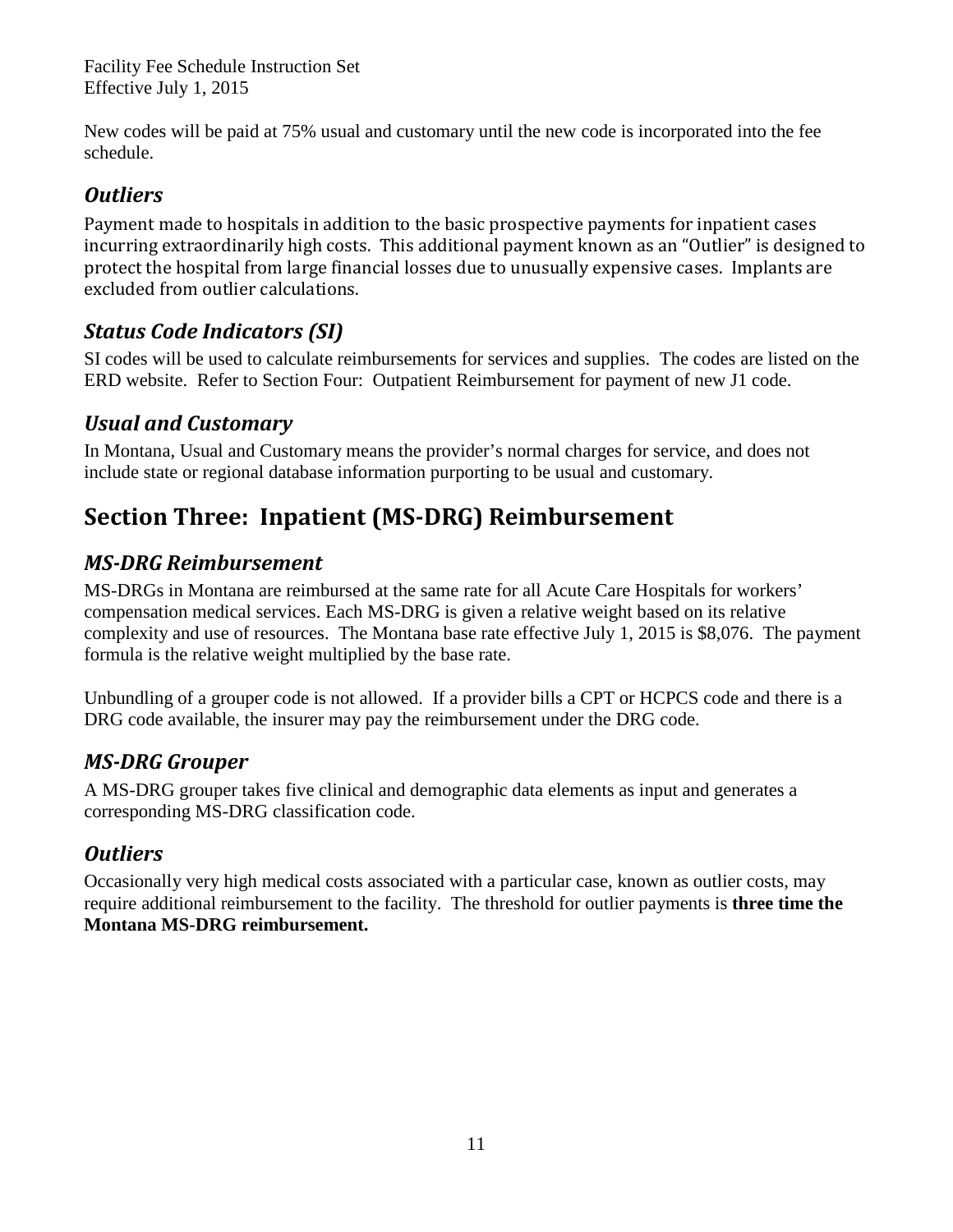New codes will be paid at 75% usual and customary until the new code is incorporated into the fee schedule.

### <span id="page-10-0"></span>*Outliers*

Payment made to hospitals in addition to the basic prospective payments for inpatient cases incurring extraordinarily high costs. This additional payment known as an "Outlier" is designed to protect the hospital from large financial losses due to unusually expensive cases. Implants are excluded from outlier calculations.

### <span id="page-10-1"></span>*Status Code Indicators (SI)*

SI codes will be used to calculate reimbursements for services and supplies. The codes are listed on the ERD website. Refer to Section Four: Outpatient Reimbursement for payment of new J1 code.

### <span id="page-10-2"></span>*Usual and Customary*

In Montana, Usual and Customary means the provider's normal charges for service, and does not include state or regional database information purporting to be usual and customary.

# <span id="page-10-3"></span>**Section Three: Inpatient (MS-DRG) Reimbursement**

# <span id="page-10-4"></span>*MS-DRG Reimbursement*

MS-DRGs in Montana are reimbursed at the same rate for all Acute Care Hospitals for workers' compensation medical services. Each MS-DRG is given a relative weight based on its relative complexity and use of resources. The Montana base rate effective July 1, 2015 is \$8,076. The payment formula is the relative weight multiplied by the base rate.

Unbundling of a grouper code is not allowed. If a provider bills a CPT or HCPCS code and there is a DRG code available, the insurer may pay the reimbursement under the DRG code.

### <span id="page-10-5"></span>*MS-DRG Grouper*

A MS-DRG grouper takes five clinical and demographic data elements as input and generates a corresponding MS-DRG classification code.

# <span id="page-10-6"></span>*Outliers*

Occasionally very high medical costs associated with a particular case, known as outlier costs, may require additional reimbursement to the facility. The threshold for outlier payments is **three time the Montana MS-DRG reimbursement.**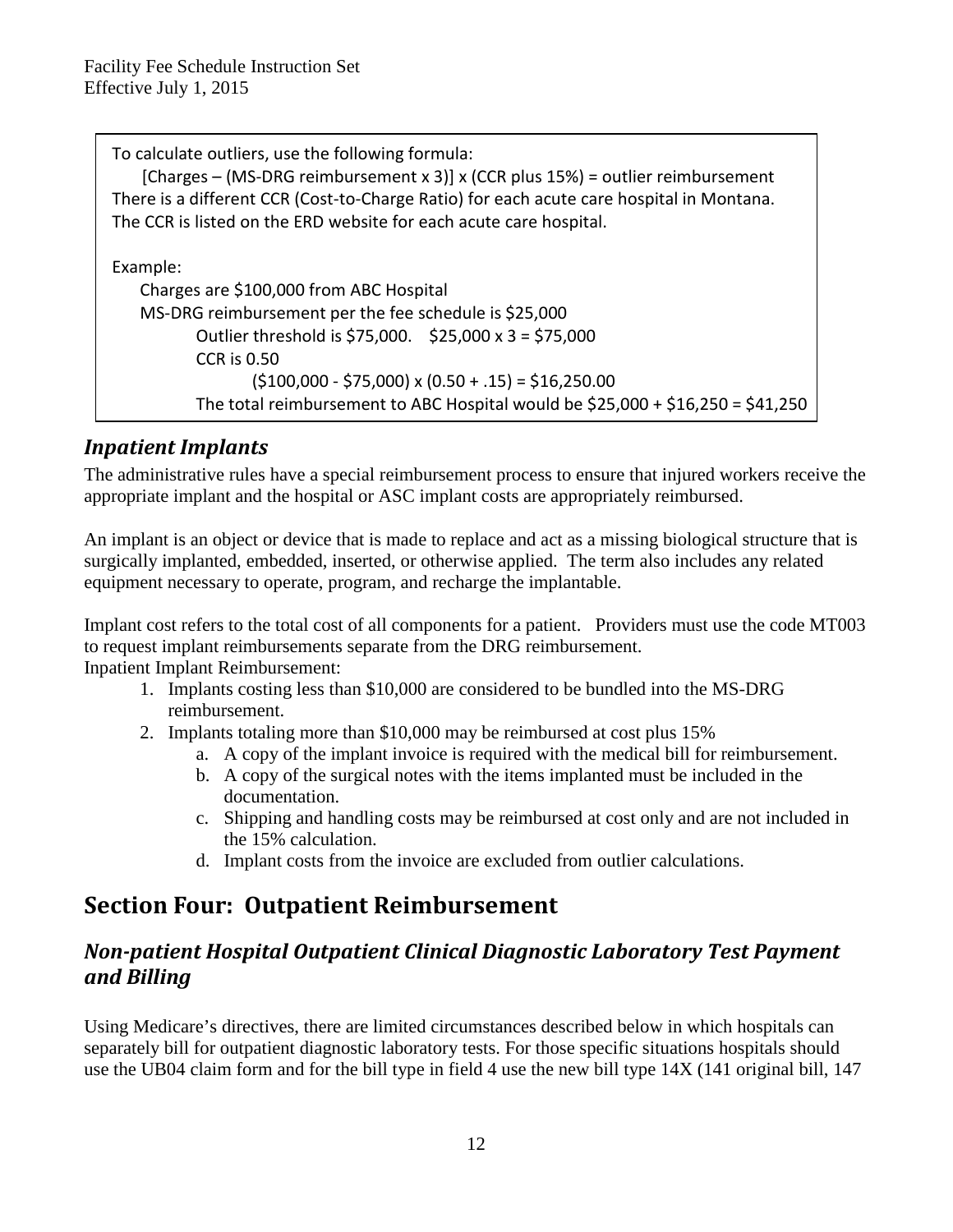| To calculate outliers, use the following formula:<br>[Charges – (MS-DRG reimbursement x 3)] x (CCR plus 15%) = outlier reimbursement |
|--------------------------------------------------------------------------------------------------------------------------------------|
| There is a different CCR (Cost-to-Charge Ratio) for each acute care hospital in Montana.                                             |
| The CCR is listed on the ERD website for each acute care hospital.                                                                   |
|                                                                                                                                      |
| Example:                                                                                                                             |
| Charges are \$100,000 from ABC Hospital                                                                                              |
| MS-DRG reimbursement per the fee schedule is \$25,000                                                                                |
| Outlier threshold is \$75,000. \$25,000 x 3 = \$75,000                                                                               |
| <b>CCR is 0.50</b>                                                                                                                   |
| $(5100,000 - 575,000)$ x $(0.50 + .15)$ = \$16,250.00                                                                                |
| The total reimbursement to ABC Hospital would be $$25,000 + $16,250 = $41,250$                                                       |

### <span id="page-11-0"></span>*Inpatient Implants*

The administrative rules have a special reimbursement process to ensure that injured workers receive the appropriate implant and the hospital or ASC implant costs are appropriately reimbursed.

An implant is an object or device that is made to replace and act as a missing biological structure that is surgically implanted, embedded, inserted, or otherwise applied. The term also includes any related equipment necessary to operate, program, and recharge the implantable.

Implant cost refers to the total cost of all components for a patient. Providers must use the code MT003 to request implant reimbursements separate from the DRG reimbursement. Inpatient Implant Reimbursement:

- 1. Implants costing less than \$10,000 are considered to be bundled into the MS-DRG reimbursement.
- 2. Implants totaling more than \$10,000 may be reimbursed at cost plus 15%
	- a. A copy of the implant invoice is required with the medical bill for reimbursement.
	- b. A copy of the surgical notes with the items implanted must be included in the documentation.
	- c. Shipping and handling costs may be reimbursed at cost only and are not included in the 15% calculation.
	- d. Implant costs from the invoice are excluded from outlier calculations.

# <span id="page-11-1"></span>**Section Four: Outpatient Reimbursement**

### <span id="page-11-2"></span>*Non-patient Hospital Outpatient Clinical Diagnostic Laboratory Test Payment and Billing*

Using Medicare's directives, there are limited circumstances described below in which hospitals can separately bill for outpatient diagnostic laboratory tests. For those specific situations hospitals should use the UB04 claim form and for the bill type in field 4 use the new bill type 14X (141 original bill, 147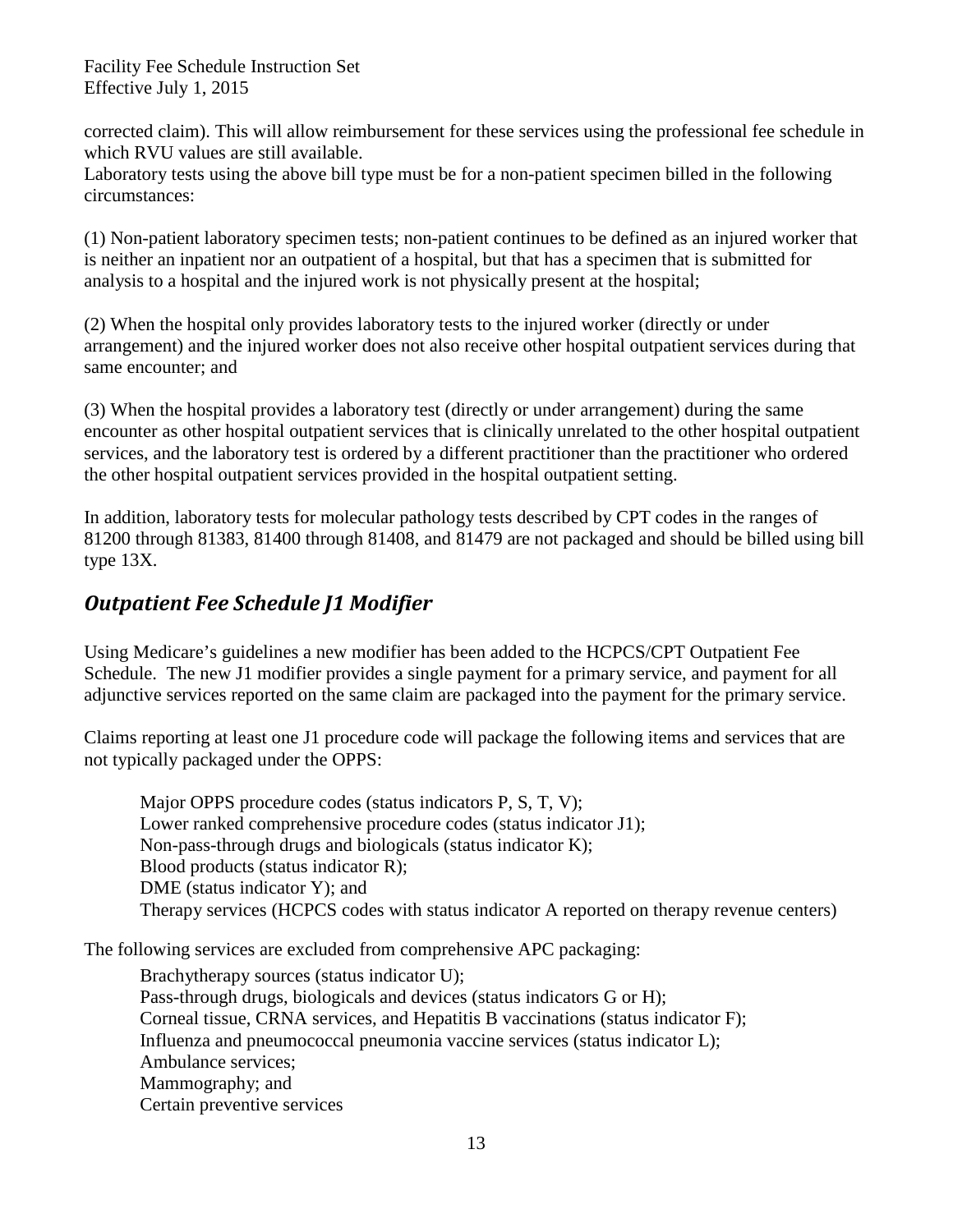corrected claim). This will allow reimbursement for these services using the professional fee schedule in which RVU values are still available.

Laboratory tests using the above bill type must be for a non-patient specimen billed in the following circumstances:

(1) Non-patient laboratory specimen tests; non-patient continues to be defined as an injured worker that is neither an inpatient nor an outpatient of a hospital, but that has a specimen that is submitted for analysis to a hospital and the injured work is not physically present at the hospital;

(2) When the hospital only provides laboratory tests to the injured worker (directly or under arrangement) and the injured worker does not also receive other hospital outpatient services during that same encounter; and

(3) When the hospital provides a laboratory test (directly or under arrangement) during the same encounter as other hospital outpatient services that is clinically unrelated to the other hospital outpatient services, and the laboratory test is ordered by a different practitioner than the practitioner who ordered the other hospital outpatient services provided in the hospital outpatient setting.

In addition, laboratory tests for molecular pathology tests described by CPT codes in the ranges of 81200 through 81383, 81400 through 81408, and 81479 are not packaged and should be billed using bill type 13X.

### <span id="page-12-0"></span>*Outpatient Fee Schedule J1 Modifier*

Using Medicare's guidelines a new modifier has been added to the HCPCS/CPT Outpatient Fee Schedule. The new J1 modifier provides a single payment for a primary service, and payment for all adjunctive services reported on the same claim are packaged into the payment for the primary service.

Claims reporting at least one J1 procedure code will package the following items and services that are not typically packaged under the OPPS:

Major OPPS procedure codes (status indicators P, S, T, V); Lower ranked comprehensive procedure codes (status indicator J1); Non-pass-through drugs and biologicals (status indicator K); Blood products (status indicator R); DME (status indicator Y); and Therapy services (HCPCS codes with status indicator A reported on therapy revenue centers)

The following services are excluded from comprehensive APC packaging:

Brachytherapy sources (status indicator U); Pass-through drugs, biologicals and devices (status indicators G or H); Corneal tissue, CRNA services, and Hepatitis B vaccinations (status indicator F); Influenza and pneumococcal pneumonia vaccine services (status indicator L); Ambulance services; Mammography; and Certain preventive services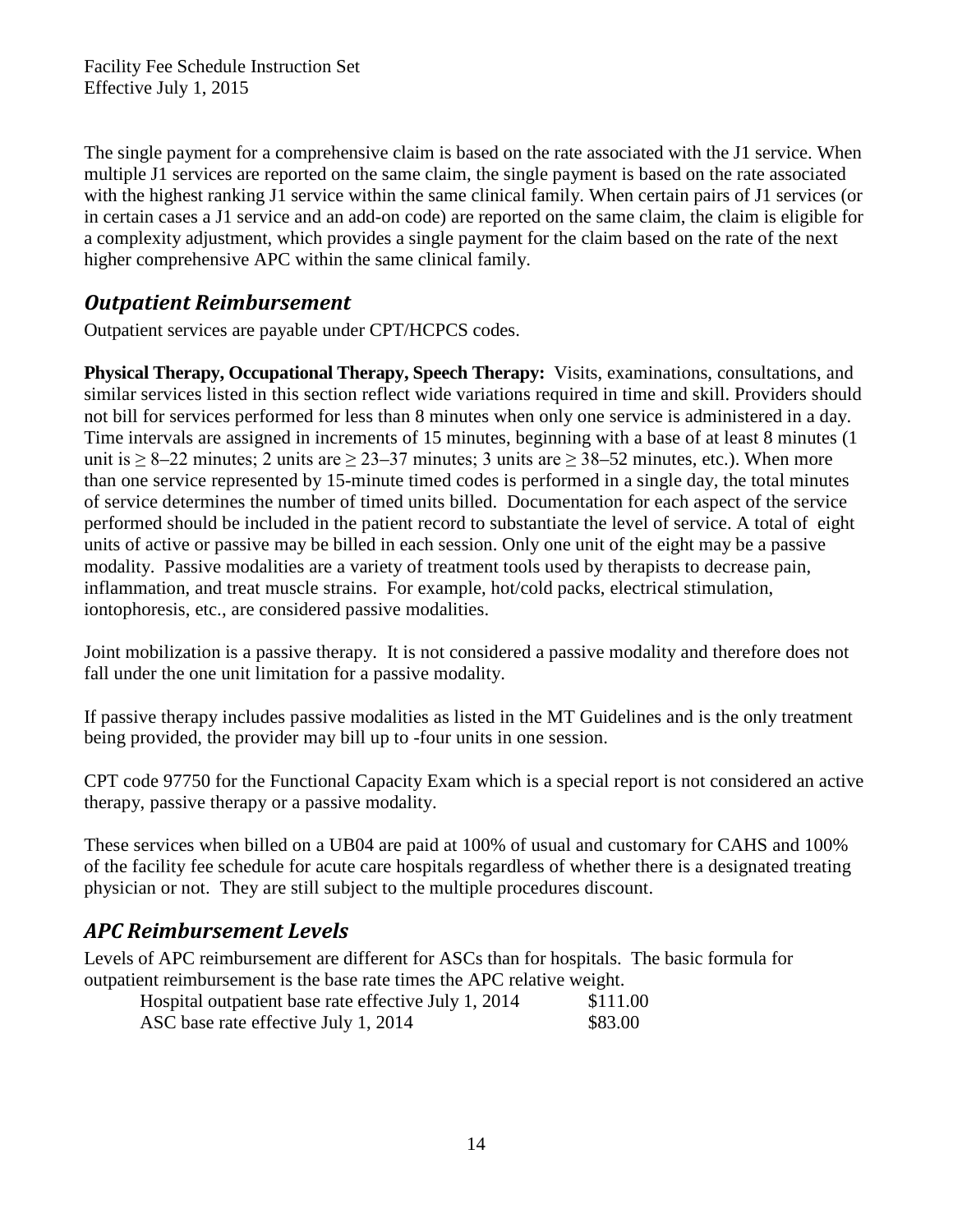The single payment for a comprehensive claim is based on the rate associated with the J1 service. When multiple J1 services are reported on the same claim, the single payment is based on the rate associated with the highest ranking J1 service within the same clinical family. When certain pairs of J1 services (or in certain cases a J1 service and an add-on code) are reported on the same claim, the claim is eligible for a complexity adjustment, which provides a single payment for the claim based on the rate of the next higher comprehensive APC within the same clinical family.

### <span id="page-13-0"></span>*Outpatient Reimbursement*

Outpatient services are payable under CPT/HCPCS codes.

**Physical Therapy, Occupational Therapy, Speech Therapy:** Visits, examinations, consultations, and similar services listed in this section reflect wide variations required in time and skill. Providers should not bill for services performed for less than 8 minutes when only one service is administered in a day. Time intervals are assigned in increments of 15 minutes, beginning with a base of at least 8 minutes (1 unit is  $\geq 8-22$  minutes; 2 units are  $\geq 23-37$  minutes; 3 units are  $\geq 38-52$  minutes, etc.). When more than one service represented by 15-minute timed codes is performed in a single day, the total minutes of service determines the number of timed units billed. Documentation for each aspect of the service performed should be included in the patient record to substantiate the level of service. A total of eight units of active or passive may be billed in each session. Only one unit of the eight may be a passive modality. Passive modalities are a variety of treatment tools used by therapists to decrease pain, inflammation, and treat muscle strains. For example, hot/cold packs, electrical stimulation, iontophoresis, etc., are considered passive modalities.

Joint mobilization is a passive therapy. It is not considered a passive modality and therefore does not fall under the one unit limitation for a passive modality.

If passive therapy includes passive modalities as listed in the MT Guidelines and is the only treatment being provided, the provider may bill up to -four units in one session.

CPT code 97750 for the Functional Capacity Exam which is a special report is not considered an active therapy, passive therapy or a passive modality.

These services when billed on a UB04 are paid at 100% of usual and customary for CAHS and 100% of the facility fee schedule for acute care hospitals regardless of whether there is a designated treating physician or not. They are still subject to the multiple procedures discount.

### <span id="page-13-1"></span>*APC Reimbursement Levels*

Levels of APC reimbursement are different for ASCs than for hospitals. The basic formula for outpatient reimbursement is the base rate times the APC relative weight.

| Hospital outpatient base rate effective July 1, 2014 | \$111.00 |
|------------------------------------------------------|----------|
| ASC base rate effective July 1, 2014                 | \$83.00  |